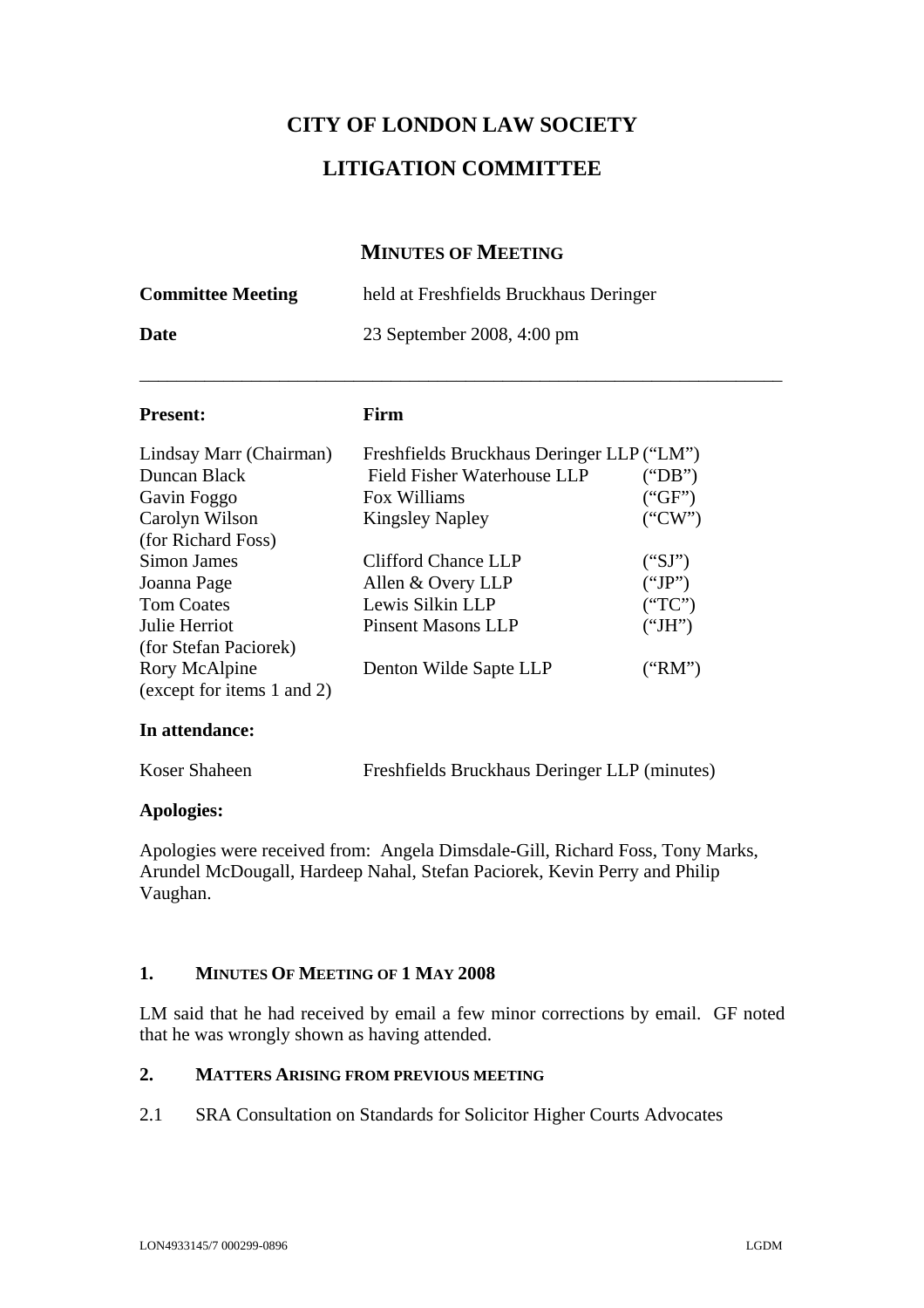# **CITY OF LONDON LAW SOCIETY**

## **LITIGATION COMMITTEE**

## **MINUTES OF MEETING**

| <b>Committee Meeting</b>                                                                                                                                           | held at Freshfields Bruckhaus Deringer<br>23 September 2008, 4:00 pm                                                                                                                                            |                                                                    |
|--------------------------------------------------------------------------------------------------------------------------------------------------------------------|-----------------------------------------------------------------------------------------------------------------------------------------------------------------------------------------------------------------|--------------------------------------------------------------------|
| Date                                                                                                                                                               |                                                                                                                                                                                                                 |                                                                    |
| <b>Present:</b>                                                                                                                                                    | Firm                                                                                                                                                                                                            |                                                                    |
| Lindsay Marr (Chairman)<br>Duncan Black<br>Gavin Foggo<br>Carolyn Wilson<br>(for Richard Foss)<br>Simon James<br>Joanna Page<br><b>Tom Coates</b><br>Julie Herriot | Freshfields Bruckhaus Deringer LLP ("LM")<br>Field Fisher Waterhouse LLP<br>Fox Williams<br><b>Kingsley Napley</b><br>Clifford Chance LLP<br>Allen & Overy LLP<br>Lewis Silkin LLP<br><b>Pinsent Masons LLP</b> | ("DB")<br>("GF")<br>("CW")<br>("SI")<br>("JP")<br>("TC")<br>("JH") |
| (for Stefan Paciorek)<br>Rory McAlpine<br>(except for items 1 and 2)                                                                                               | Denton Wilde Sapte LLP                                                                                                                                                                                          | ("RM")                                                             |

#### **In attendance:**

| Koser Shaheen | Freshfields Bruckhaus Deringer LLP (minutes) |
|---------------|----------------------------------------------|
|               |                                              |

#### **Apologies:**

Apologies were received from: Angela Dimsdale-Gill, Richard Foss, Tony Marks, Arundel McDougall, Hardeep Nahal, Stefan Paciorek, Kevin Perry and Philip Vaughan.

#### **1. MINUTES OF MEETING OF 1 MAY 2008**

LM said that he had received by email a few minor corrections by email. GF noted that he was wrongly shown as having attended.

### **2. MATTERS ARISING FROM PREVIOUS MEETING**

2.1 SRA Consultation on Standards for Solicitor Higher Courts Advocates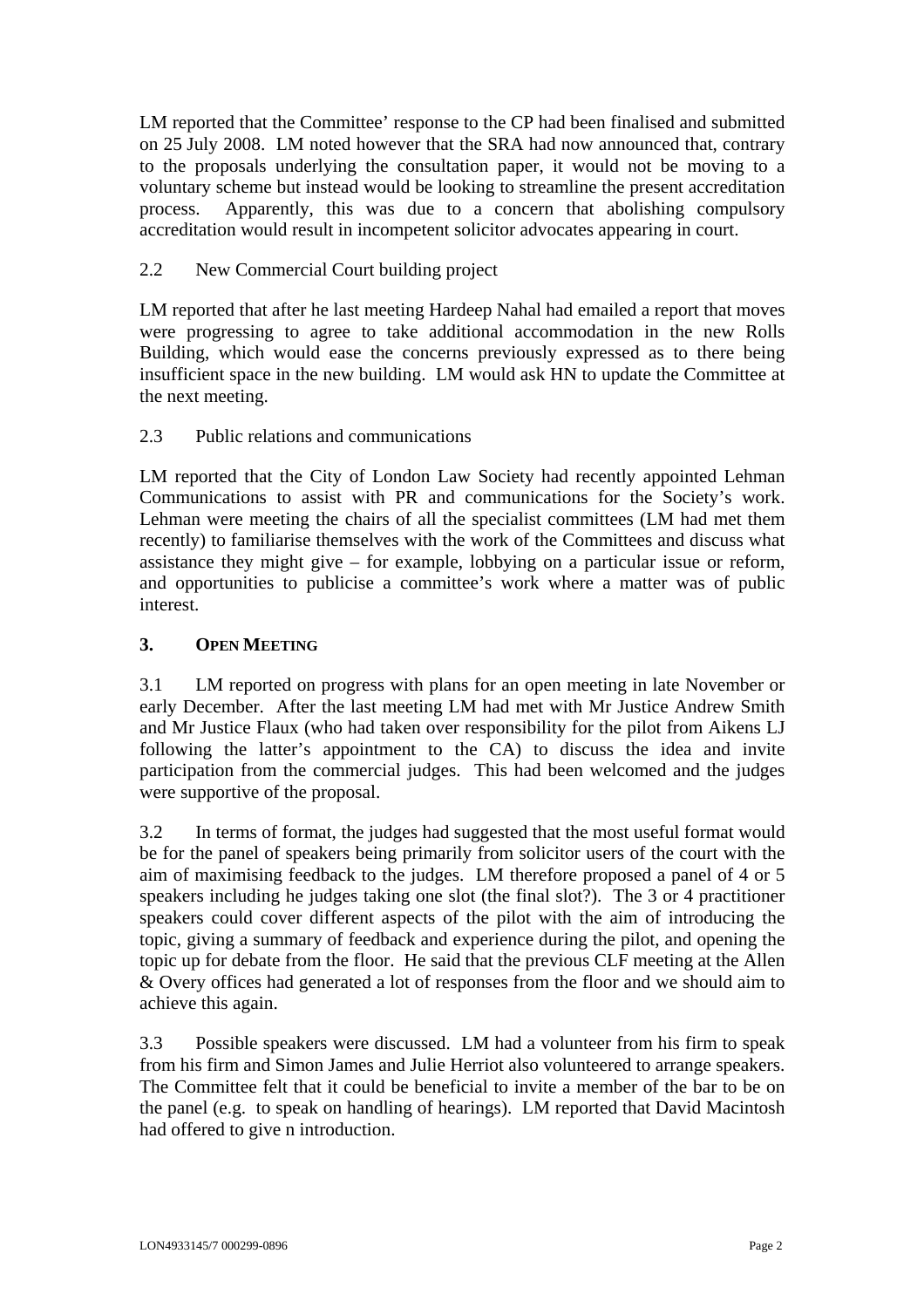LM reported that the Committee' response to the CP had been finalised and submitted on 25 July 2008. LM noted however that the SRA had now announced that, contrary to the proposals underlying the consultation paper, it would not be moving to a voluntary scheme but instead would be looking to streamline the present accreditation process. Apparently, this was due to a concern that abolishing compulsory accreditation would result in incompetent solicitor advocates appearing in court.

## 2.2 New Commercial Court building project

LM reported that after he last meeting Hardeep Nahal had emailed a report that moves were progressing to agree to take additional accommodation in the new Rolls Building, which would ease the concerns previously expressed as to there being insufficient space in the new building. LM would ask HN to update the Committee at the next meeting.

### 2.3 Public relations and communications

LM reported that the City of London Law Society had recently appointed Lehman Communications to assist with PR and communications for the Society's work. Lehman were meeting the chairs of all the specialist committees (LM had met them recently) to familiarise themselves with the work of the Committees and discuss what assistance they might give – for example, lobbying on a particular issue or reform, and opportunities to publicise a committee's work where a matter was of public interest.

## **3. OPEN MEETING**

3.1 LM reported on progress with plans for an open meeting in late November or early December. After the last meeting LM had met with Mr Justice Andrew Smith and Mr Justice Flaux (who had taken over responsibility for the pilot from Aikens LJ following the latter's appointment to the CA) to discuss the idea and invite participation from the commercial judges. This had been welcomed and the judges were supportive of the proposal.

3.2 In terms of format, the judges had suggested that the most useful format would be for the panel of speakers being primarily from solicitor users of the court with the aim of maximising feedback to the judges. LM therefore proposed a panel of 4 or 5 speakers including he judges taking one slot (the final slot?). The 3 or 4 practitioner speakers could cover different aspects of the pilot with the aim of introducing the topic, giving a summary of feedback and experience during the pilot, and opening the topic up for debate from the floor. He said that the previous CLF meeting at the Allen & Overy offices had generated a lot of responses from the floor and we should aim to achieve this again.

3.3 Possible speakers were discussed. LM had a volunteer from his firm to speak from his firm and Simon James and Julie Herriot also volunteered to arrange speakers. The Committee felt that it could be beneficial to invite a member of the bar to be on the panel (e.g. to speak on handling of hearings). LM reported that David Macintosh had offered to give n introduction.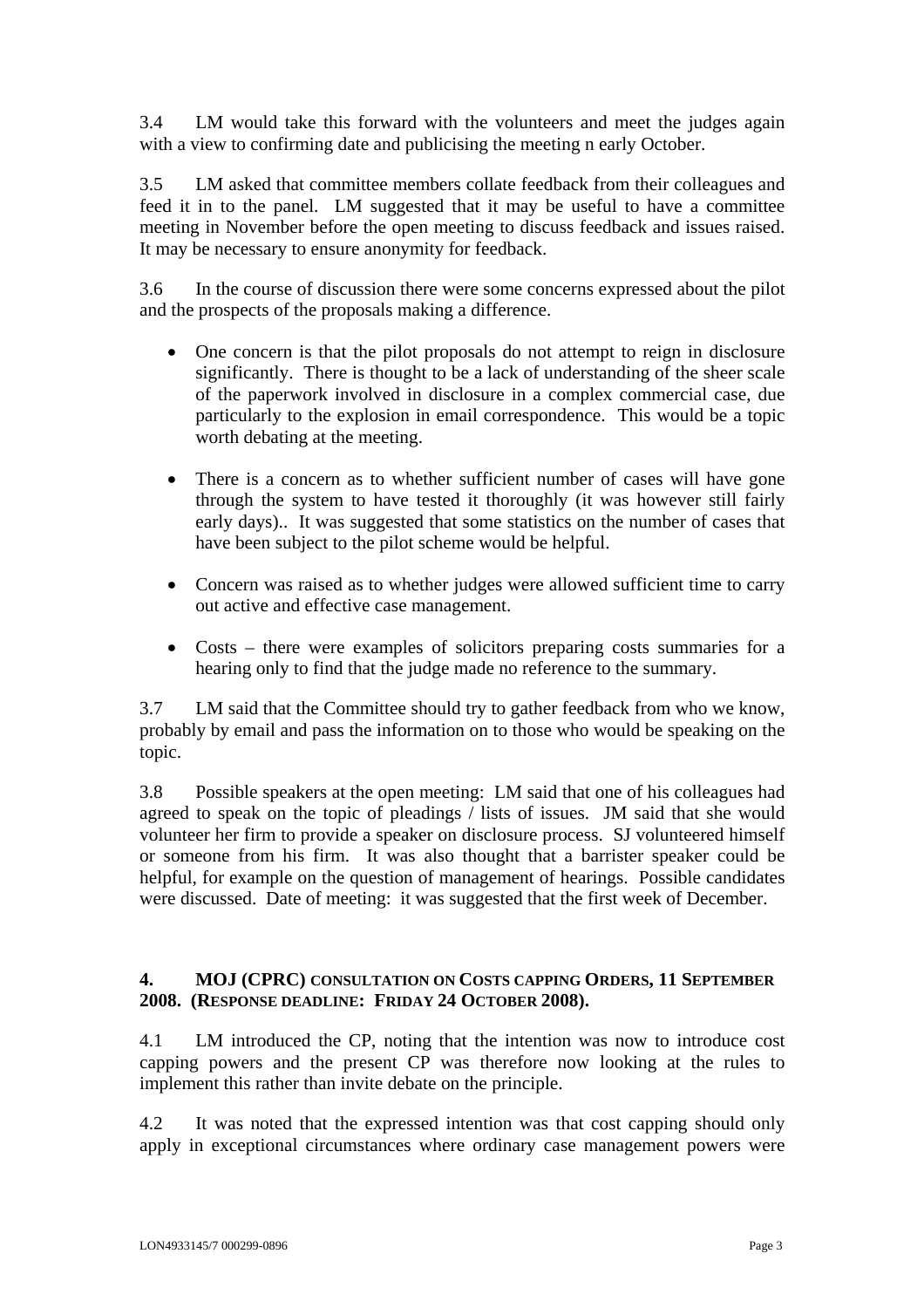3.4 LM would take this forward with the volunteers and meet the judges again with a view to confirming date and publicising the meeting n early October.

3.5 LM asked that committee members collate feedback from their colleagues and feed it in to the panel. LM suggested that it may be useful to have a committee meeting in November before the open meeting to discuss feedback and issues raised. It may be necessary to ensure anonymity for feedback.

3.6 In the course of discussion there were some concerns expressed about the pilot and the prospects of the proposals making a difference.

- One concern is that the pilot proposals do not attempt to reign in disclosure significantly. There is thought to be a lack of understanding of the sheer scale of the paperwork involved in disclosure in a complex commercial case, due particularly to the explosion in email correspondence. This would be a topic worth debating at the meeting.
- There is a concern as to whether sufficient number of cases will have gone through the system to have tested it thoroughly (it was however still fairly early days).. It was suggested that some statistics on the number of cases that have been subject to the pilot scheme would be helpful.
- Concern was raised as to whether judges were allowed sufficient time to carry out active and effective case management.
- Costs there were examples of solicitors preparing costs summaries for a hearing only to find that the judge made no reference to the summary.

3.7 LM said that the Committee should try to gather feedback from who we know, probably by email and pass the information on to those who would be speaking on the topic.

3.8 Possible speakers at the open meeting: LM said that one of his colleagues had agreed to speak on the topic of pleadings / lists of issues. JM said that she would volunteer her firm to provide a speaker on disclosure process. SJ volunteered himself or someone from his firm. It was also thought that a barrister speaker could be helpful, for example on the question of management of hearings. Possible candidates were discussed. Date of meeting: it was suggested that the first week of December.

### **4. MOJ (CPRC) CONSULTATION ON COSTS CAPPING ORDERS, 11 SEPTEMBER 2008. (RESPONSE DEADLINE: FRIDAY 24 OCTOBER 2008).**

4.1 LM introduced the CP, noting that the intention was now to introduce cost capping powers and the present CP was therefore now looking at the rules to implement this rather than invite debate on the principle.

4.2 It was noted that the expressed intention was that cost capping should only apply in exceptional circumstances where ordinary case management powers were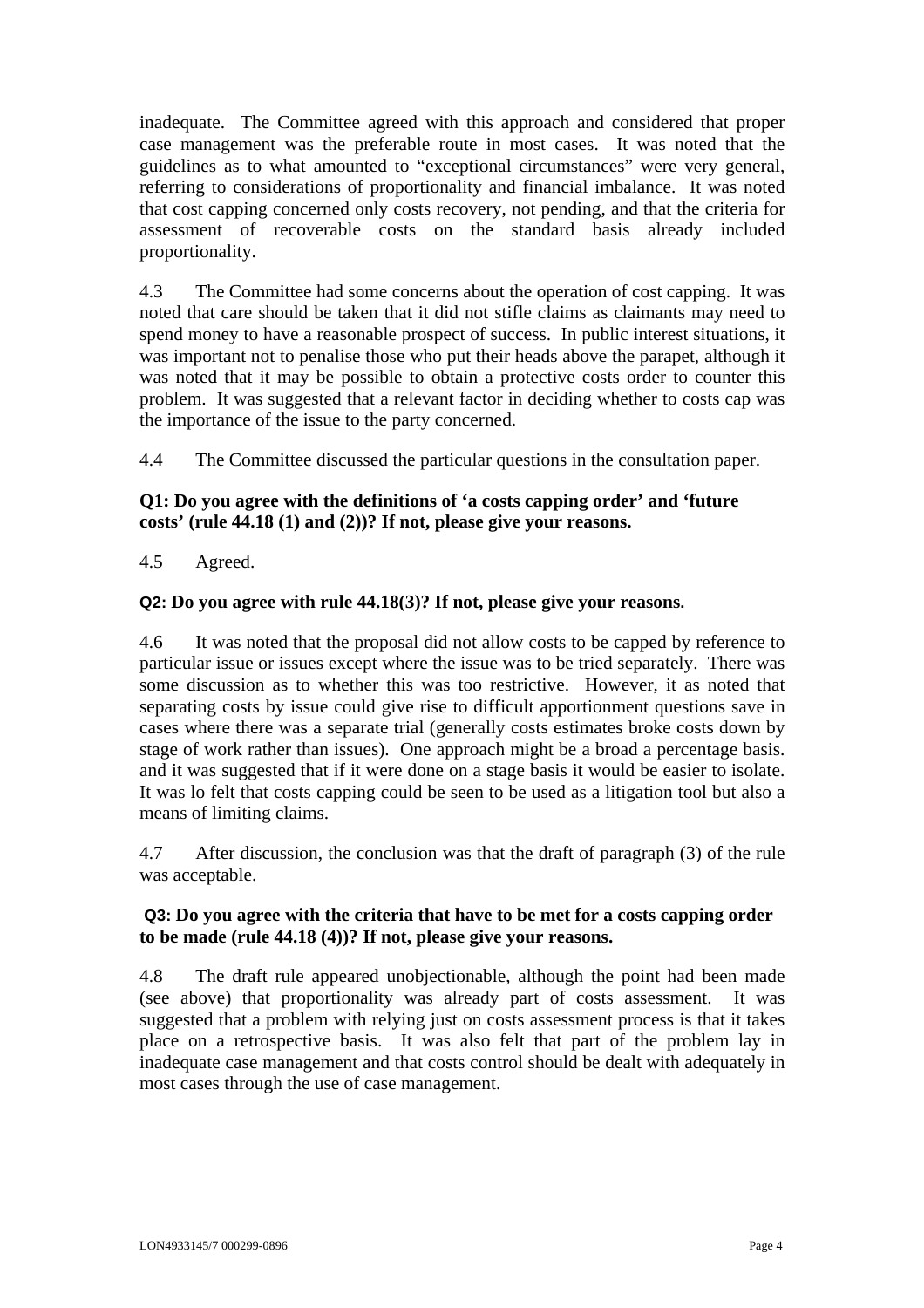inadequate. The Committee agreed with this approach and considered that proper case management was the preferable route in most cases. It was noted that the guidelines as to what amounted to "exceptional circumstances" were very general, referring to considerations of proportionality and financial imbalance. It was noted that cost capping concerned only costs recovery, not pending, and that the criteria for assessment of recoverable costs on the standard basis already included proportionality.

4.3 The Committee had some concerns about the operation of cost capping. It was noted that care should be taken that it did not stifle claims as claimants may need to spend money to have a reasonable prospect of success. In public interest situations, it was important not to penalise those who put their heads above the parapet, although it was noted that it may be possible to obtain a protective costs order to counter this problem. It was suggested that a relevant factor in deciding whether to costs cap was the importance of the issue to the party concerned.

4.4 The Committee discussed the particular questions in the consultation paper.

## **Q1: Do you agree with the definitions of 'a costs capping order' and 'future costs' (rule 44.18 (1) and (2))? If not, please give your reasons.**

4.5 Agreed.

#### **Q2: Do you agree with rule 44.18(3)? If not, please give your reasons.**

4.6 It was noted that the proposal did not allow costs to be capped by reference to particular issue or issues except where the issue was to be tried separately. There was some discussion as to whether this was too restrictive. However, it as noted that separating costs by issue could give rise to difficult apportionment questions save in cases where there was a separate trial (generally costs estimates broke costs down by stage of work rather than issues). One approach might be a broad a percentage basis. and it was suggested that if it were done on a stage basis it would be easier to isolate. It was lo felt that costs capping could be seen to be used as a litigation tool but also a means of limiting claims.

4.7 After discussion, the conclusion was that the draft of paragraph (3) of the rule was acceptable.

#### **Q3: Do you agree with the criteria that have to be met for a costs capping order to be made (rule 44.18 (4))? If not, please give your reasons.**

4.8 The draft rule appeared unobjectionable, although the point had been made (see above) that proportionality was already part of costs assessment. It was suggested that a problem with relying just on costs assessment process is that it takes place on a retrospective basis. It was also felt that part of the problem lay in inadequate case management and that costs control should be dealt with adequately in most cases through the use of case management.